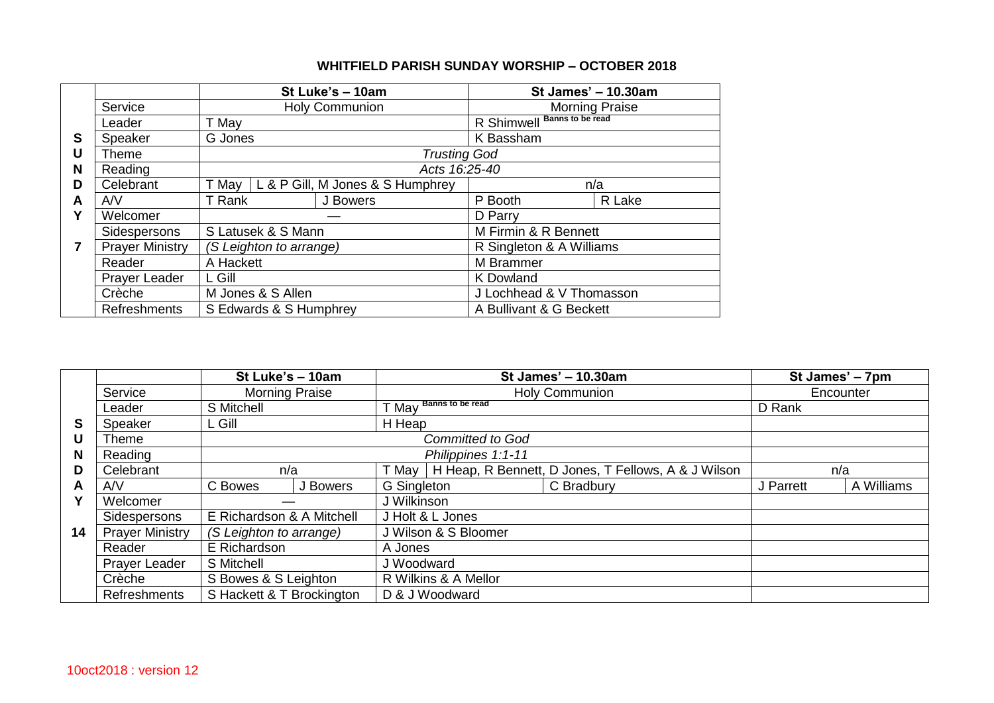## **WHITFIELD PARISH SUNDAY WORSHIP – OCTOBER 2018**

|   |                        |               |                         | St Luke's - 10am                 | St James' - 10.30am                   |        |  |
|---|------------------------|---------------|-------------------------|----------------------------------|---------------------------------------|--------|--|
|   | Service                |               |                         | <b>Holy Communion</b>            | <b>Morning Praise</b>                 |        |  |
|   | Leader                 | T May         |                         |                                  | <b>Banns to be read</b><br>R Shimwell |        |  |
| S | Speaker                | G Jones       |                         |                                  | K Bassham                             |        |  |
| U | Theme                  |               |                         | <b>Trusting God</b>              |                                       |        |  |
| N | Reading                | Acts 16:25-40 |                         |                                  |                                       |        |  |
| D | Celebrant              | T May         |                         | L & P Gill, M Jones & S Humphrey |                                       | n/a    |  |
| A | AVV                    | T Rank        |                         | J Bowers                         | P Booth                               | R Lake |  |
| Υ | Welcomer               |               |                         |                                  | D Parry                               |        |  |
|   | Sidespersons           |               | S Latusek & S Mann      |                                  | M Firmin & R Bennett                  |        |  |
| 7 | <b>Prayer Ministry</b> |               | (S Leighton to arrange) |                                  | R Singleton & A Williams              |        |  |
|   | Reader                 | A Hackett     |                         |                                  | M Brammer                             |        |  |
|   | Prayer Leader          | L Gill        |                         |                                  | K Dowland                             |        |  |
|   | Crèche                 |               | M Jones & S Allen       |                                  | J Lochhead & V Thomasson              |        |  |
|   | <b>Refreshments</b>    |               | S Edwards & S Humphrey  |                                  | A Bullivant & G Beckett               |        |  |

|    | St Luke's - 10am                 |                                                                               |                         | St James' - 10.30am                                                   | St James' - 7pm |           |            |
|----|----------------------------------|-------------------------------------------------------------------------------|-------------------------|-----------------------------------------------------------------------|-----------------|-----------|------------|
|    | Service<br><b>Morning Praise</b> |                                                                               |                         | <b>Holy Communion</b>                                                 | Encounter       |           |            |
|    | Leader                           | S Mitchell                                                                    |                         | <b>Banns to be read</b><br>T May                                      |                 | D Rank    |            |
| S  | Speaker                          | L Gill                                                                        |                         | H Heap                                                                |                 |           |            |
| U  | Theme                            |                                                                               | <b>Committed to God</b> |                                                                       |                 |           |            |
| N  | Reading                          |                                                                               |                         | Philippines 1:1-11                                                    |                 |           |            |
| D  | Celebrant                        | n/a                                                                           |                         | H Heap, R Bennett, D Jones, T Fellows, A & J Wilson<br>T May          |                 | n/a       |            |
| A  | AVV                              | C Bowes                                                                       | J Bowers                | G Singleton                                                           | C Bradbury      | J Parrett | A Williams |
|    | Welcomer                         |                                                                               |                         | J Wilkinson                                                           |                 |           |            |
|    | Sidespersons                     | E Richardson & A Mitchell                                                     |                         | J Holt & L Jones                                                      |                 |           |            |
| 14 | <b>Prayer Ministry</b>           | (S Leighton to arrange)<br>E Richardson<br>S Mitchell<br>S Bowes & S Leighton |                         | J Wilson & S Bloomer<br>A Jones<br>J Woodward<br>R Wilkins & A Mellor |                 |           |            |
|    | Reader                           |                                                                               |                         |                                                                       |                 |           |            |
|    | Prayer Leader                    |                                                                               |                         |                                                                       |                 |           |            |
|    | Crèche                           |                                                                               |                         |                                                                       |                 |           |            |
|    | <b>Refreshments</b>              | S Hackett & T Brockington                                                     |                         | D & J Woodward                                                        |                 |           |            |